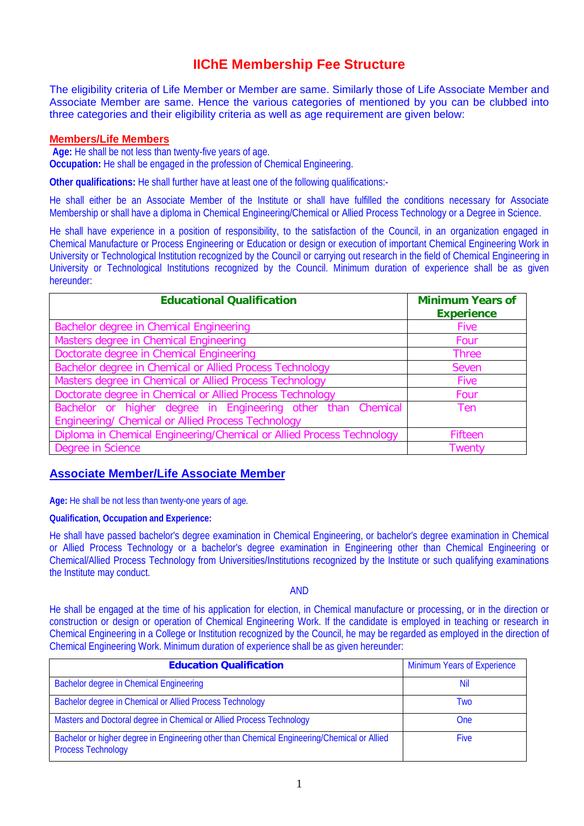# **IIChE Membership Fee Structure**

The eligibility criteria of Life Member or Member are same. Similarly those of Life Associate Member and Associate Member are same. Hence the various categories of mentioned by you can be clubbed into three categories and their eligibility criteria as well as age requirement are given below:

### **Members/Life Members**

**Age:** He shall be not less than twenty-five years of age. **Occupation:** He shall be engaged in the profession of Chemical Engineering.

**Other qualifications:** He shall further have at least one of the following qualifications:-

He shall either be an Associate Member of the Institute or shall have fulfilled the conditions necessary for Associate Membership or shall have a diploma in Chemical Engineering/Chemical or Allied Process Technology or a Degree in Science.

He shall have experience in a position of responsibility, to the satisfaction of the Council, in an organization engaged in Chemical Manufacture or Process Engineering or Education or design or execution of important Chemical Engineering Work in University or Technological Institution recognized by the Council or carrying out research in the field of Chemical Engineering in University or Technological Institutions recognized by the Council. Minimum duration of experience shall be as given hereunder:

| <b>Educational Qualification</b>                                                                                   | <b>Minimum Years of</b><br><b>Experience</b> |  |
|--------------------------------------------------------------------------------------------------------------------|----------------------------------------------|--|
| Bachelor degree in Chemical Engineering                                                                            | <b>Five</b>                                  |  |
| Masters degree in Chemical Engineering                                                                             | Four                                         |  |
| Doctorate degree in Chemical Engineering                                                                           | <b>Three</b>                                 |  |
| Bachelor degree in Chemical or Allied Process Technology                                                           | Seven                                        |  |
| Masters degree in Chemical or Allied Process Technology                                                            | <b>Five</b>                                  |  |
| Doctorate degree in Chemical or Allied Process Technology                                                          | Four                                         |  |
| Bachelor or higher degree in Engineering other than Chemical<br>Engineering/ Chemical or Allied Process Technology | Ten                                          |  |
| Diploma in Chemical Engineering/Chemical or Allied Process Technology                                              | <b>Fifteen</b>                               |  |
| Degree in Science                                                                                                  | Twentv                                       |  |

## **Associate Member/Life Associate Member**

**Age:** He shall be not less than twenty-one years of age.

### **Qualification, Occupation and Experience:**

He shall have passed bachelor's degree examination in Chemical Engineering, or bachelor's degree examination in Chemical or Allied Process Technology or a bachelor's degree examination in Engineering other than Chemical Engineering or Chemical/Allied Process Technology from Universities/Institutions recognized by the Institute or such qualifying examinations the Institute may conduct.

AND

He shall be engaged at the time of his application for election, in Chemical manufacture or processing, or in the direction or construction or design or operation of Chemical Engineering Work. If the candidate is employed in teaching or research in Chemical Engineering in a College or Institution recognized by the Council, he may be regarded as employed in the direction of Chemical Engineering Work. Minimum duration of experience shall be as given hereunder:

| <b>Education Qualification</b>                                                                                           | <b>Minimum Years of Experience</b> |  |
|--------------------------------------------------------------------------------------------------------------------------|------------------------------------|--|
| <b>Bachelor degree in Chemical Engineering</b>                                                                           | Nil                                |  |
| Bachelor degree in Chemical or Allied Process Technology                                                                 | Two                                |  |
| Masters and Doctoral degree in Chemical or Allied Process Technology                                                     | <b>One</b>                         |  |
| Bachelor or higher degree in Engineering other than Chemical Engineering/Chemical or Allied<br><b>Process Technology</b> | <b>Five</b>                        |  |